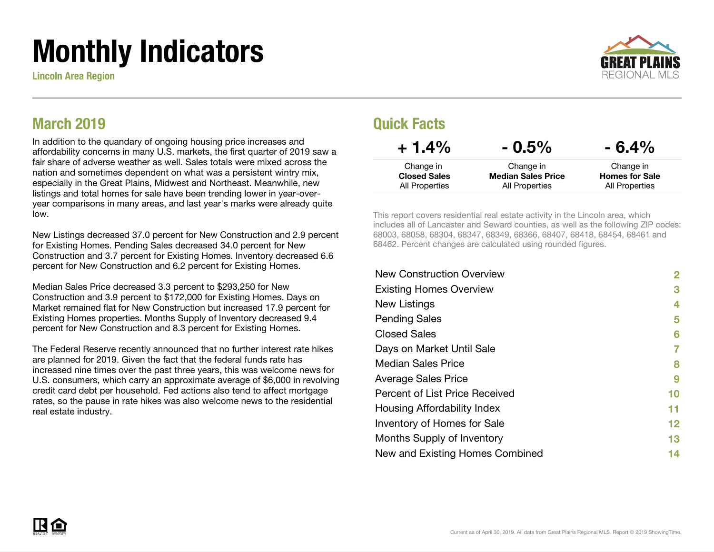# Monthly Indicators

Lincoln Area Region



#### March 2019

In addition to the quandary of ongoing housing price increases and affordability concerns in many U.S. markets, the first quarter of 2019 saw a fair share of adverse weather as well. Sales totals were mixed across the nation and sometimes dependent on what was a persistent wintry mix, especially in the Great Plains, Midwest and Northeast. Meanwhile, new listings and total homes for sale have been trending lower in year-overyear comparisons in many areas, and last year's marks were already quite low.

New Listings decreased 37.0 percent for New Construction and 2.9 percent for Existing Homes. Pending Sales decreased 34.0 percent for New Construction and 3.7 percent for Existing Homes. Inventory decreased 6.6 percent for New Construction and 6.2 percent for Existing Homes.

Median Sales Price decreased 3.3 percent to \$293,250 for New Construction and 3.9 percent to \$172,000 for Existing Homes. Days on Market remained flat for New Construction but increased 17.9 percent for Existing Homes properties. Months Supply of Inventory decreased 9.4 percent for New Construction and 8.3 percent for Existing Homes.

The Federal Reserve recently announced that no further interest rate hikes are planned for 2019. Given the fact that the federal funds rate has increased nine times over the past three years, this was welcome news for U.S. consumers, which carry an approximate average of \$6,000 in revolving credit card debt per household. Fed actions also tend to affect mortgage rates, so the pause in rate hikes was also welcome news to the residential real estate industry.

#### Quick Facts

| $+1.4\%$            | $-0.5\%$                  | $-6.4%$               |
|---------------------|---------------------------|-----------------------|
| Change in           | Change in                 | Change in             |
| <b>Closed Sales</b> | <b>Median Sales Price</b> | <b>Homes for Sale</b> |
| All Properties      | All Properties            | All Properties        |

This report covers residential real estate activity in the Lincoln area, which includes all of Lancaster and Seward counties, as well as the following ZIP codes: 68003, 68058, 68304, 68347, 68349, 68366, 68407, 68418, 68454, 68461 and 68462. Percent changes are calculated using rounded figures.

| <b>New Construction Overview</b> | 2                 |
|----------------------------------|-------------------|
| <b>Existing Homes Overview</b>   | 3                 |
| New Listings                     | 4                 |
| <b>Pending Sales</b>             | 5                 |
| <b>Closed Sales</b>              | 6                 |
| Days on Market Until Sale        | 7                 |
| Median Sales Price               | 8                 |
| <b>Average Sales Price</b>       | 9                 |
| Percent of List Price Received   | 10                |
| Housing Affordability Index      | 11                |
| Inventory of Homes for Sale      | $12 \ \mathsf{ }$ |
| Months Supply of Inventory       | 13                |
| New and Existing Homes Combined  | 14                |

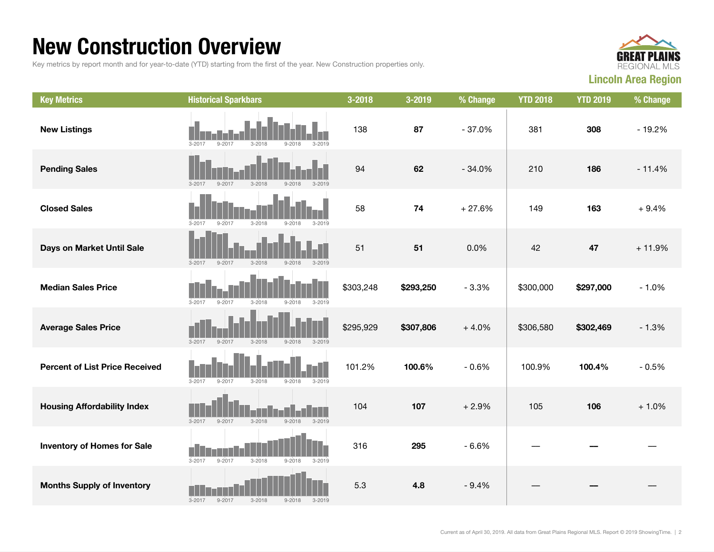#### New Construction Overview

Key metrics by report month and for year-to-date (YTD) starting from the first of the year. New Construction properties only.



| <b>Key Metrics</b>                    | <b>Historical Sparkbars</b>                                        | 3-2018    | 3-2019    | % Change | <b>YTD 2018</b> | <b>YTD 2019</b> | % Change |
|---------------------------------------|--------------------------------------------------------------------|-----------|-----------|----------|-----------------|-----------------|----------|
| <b>New Listings</b>                   | $9 - 2017$<br>$3 - 2017$<br>$3 - 2018$<br>$9 - 2018$<br>$3 - 2019$ | 138       | 87        | $-37.0%$ | 381             | 308             | $-19.2%$ |
| <b>Pending Sales</b>                  | $9 - 2017$<br>$3 - 2017$<br>$3 - 2018$<br>$9 - 2018$<br>$3 - 2019$ | 94        | 62        | $-34.0%$ | 210             | 186             | $-11.4%$ |
| <b>Closed Sales</b>                   | $9 - 2017$<br>$3 - 2018$<br>$9 - 2018$<br>$3 - 2019$<br>$3 - 2017$ | 58        | 74        | $+27.6%$ | 149             | 163             | $+9.4%$  |
| Days on Market Until Sale             | $9 - 2017$<br>$3 - 2018$<br>$9 - 2018$<br>$3 - 2019$<br>$3 - 2017$ | 51        | 51        | 0.0%     | 42              | 47              | $+11.9%$ |
| <b>Median Sales Price</b>             | $3 - 2017$<br>$9 - 2017$<br>$3 - 2018$<br>$9 - 2018$<br>$3 - 2019$ | \$303,248 | \$293,250 | $-3.3%$  | \$300,000       | \$297,000       | $-1.0%$  |
| <b>Average Sales Price</b>            | $3 - 2017$<br>$3 - 2018$<br>$9 - 2017$<br>$9 - 2018$<br>$3 - 2019$ | \$295,929 | \$307,806 | $+4.0%$  | \$306,580       | \$302,469       | $-1.3%$  |
| <b>Percent of List Price Received</b> | $3 - 2017$<br>$9 - 2017$<br>$3 - 2018$<br>$9 - 2018$<br>$3 - 2019$ | 101.2%    | 100.6%    | $-0.6%$  | 100.9%          | 100.4%          | $-0.5%$  |
| <b>Housing Affordability Index</b>    | $3 - 2018$<br>$9 - 2018$<br>$3 - 2019$<br>$3 - 2017$<br>$9 - 2017$ | 104       | 107       | $+2.9%$  | 105             | 106             | $+1.0%$  |
| <b>Inventory of Homes for Sale</b>    | $3 - 2017$<br>$9 - 2017$<br>$3 - 2018$<br>$9 - 2018$<br>$3 - 2019$ | 316       | 295       | $-6.6%$  |                 |                 |          |
| <b>Months Supply of Inventory</b>     | $3 - 2017$<br>$9 - 2017$<br>$3 - 2018$<br>$9 - 2018$<br>$3 - 2019$ | 5.3       | 4.8       | $-9.4%$  |                 |                 |          |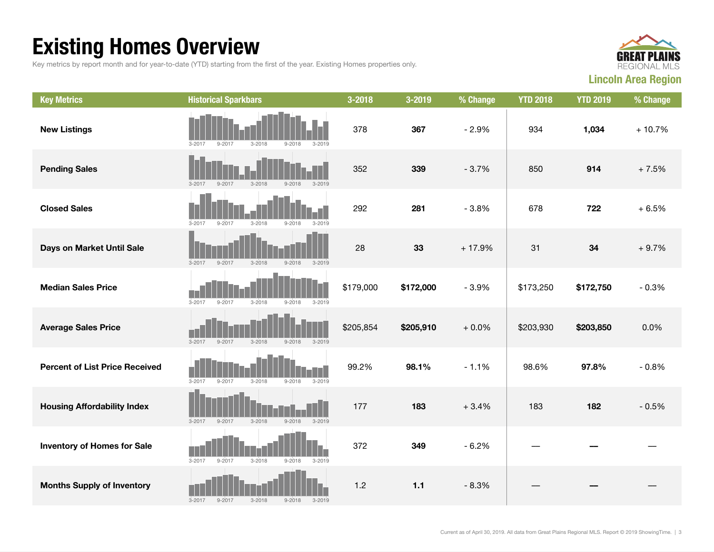### Existing Homes Overview

Key metrics by report month and for year-to-date (YTD) starting from the first of the year. Existing Homes properties only.



| <b>Key Metrics</b>                    | <b>Historical Sparkbars</b>                                        | 3-2018    | 3-2019    | % Change | <b>YTD 2018</b> | <b>YTD 2019</b> | % Change |
|---------------------------------------|--------------------------------------------------------------------|-----------|-----------|----------|-----------------|-----------------|----------|
| <b>New Listings</b>                   | $3 - 2018$<br>$3 - 2017$<br>$9 - 2017$<br>$9 - 2018$<br>$3 - 2019$ | 378       | 367       | $-2.9%$  | 934             | 1,034           | $+10.7%$ |
| <b>Pending Sales</b>                  | $3 - 2018$<br>$9 - 2018$<br>$3 - 2017$<br>$9 - 2017$<br>$3 - 2019$ | 352       | 339       | $-3.7%$  | 850             | 914             | $+7.5%$  |
| <b>Closed Sales</b>                   | $3 - 2017$<br>$9 - 2017$<br>$3 - 2018$<br>$9 - 2018$<br>$3 - 2019$ | 292       | 281       | $-3.8%$  | 678             | 722             | $+6.5%$  |
| Days on Market Until Sale             | $3 - 2018$<br>$9 - 2018$<br>$3 - 2019$<br>$3 - 2017$<br>$9 - 2017$ | 28        | 33        | $+17.9%$ | 31              | 34              | $+9.7%$  |
| <b>Median Sales Price</b>             | $3 - 2017$<br>$9 - 2017$<br>$3 - 2018$<br>$9 - 2018$<br>$3 - 2019$ | \$179,000 | \$172,000 | $-3.9%$  | \$173,250       | \$172,750       | $-0.3%$  |
| <b>Average Sales Price</b>            | $3 - 2017$<br>$9 - 2017$<br>$3 - 2018$<br>$9 - 2018$<br>$3 - 2019$ | \$205,854 | \$205,910 | $+0.0%$  | \$203,930       | \$203,850       | 0.0%     |
| <b>Percent of List Price Received</b> | $3 - 2017$<br>$9 - 2017$<br>$3 - 2018$<br>$9 - 2018$<br>$3 - 2019$ | 99.2%     | 98.1%     | $-1.1%$  | 98.6%           | 97.8%           | $-0.8%$  |
| <b>Housing Affordability Index</b>    | $3 - 2017$<br>$9 - 2017$<br>$3 - 2018$<br>$9 - 2018$<br>$3 - 2019$ | 177       | 183       | $+3.4%$  | 183             | 182             | $-0.5%$  |
| <b>Inventory of Homes for Sale</b>    | $3 - 2017$<br>$3 - 2018$<br>$9 - 2017$<br>$9 - 2018$<br>$3 - 2019$ | 372       | 349       | $-6.2%$  |                 |                 |          |
| <b>Months Supply of Inventory</b>     | $9 - 2017$<br>$3 - 2018$<br>$9 - 2018$<br>$3 - 2019$<br>$3 - 2017$ | 1.2       | $1.1$     | $-8.3%$  |                 |                 |          |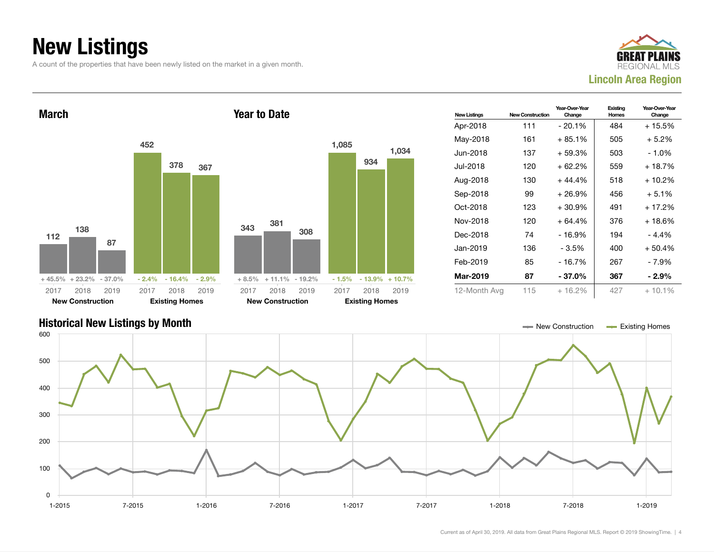### New Listings

A count of the properties that have been newly listed on the market in a given month.





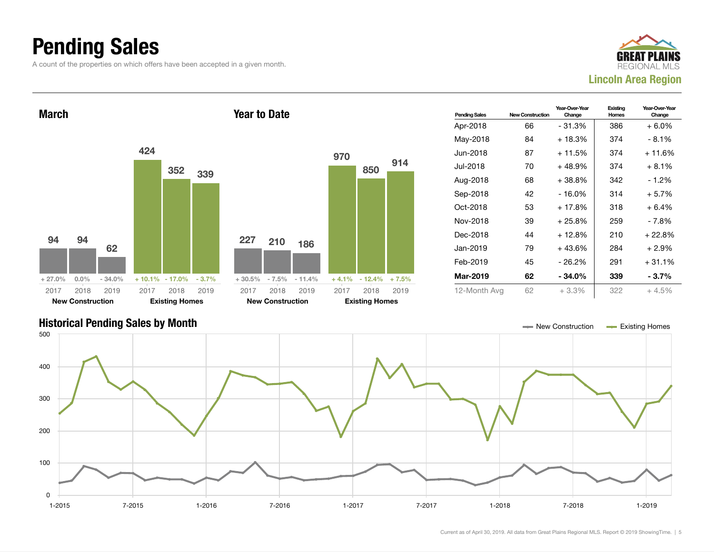### Pending Sales

A count of the properties on which offers have been accepted in a given month.





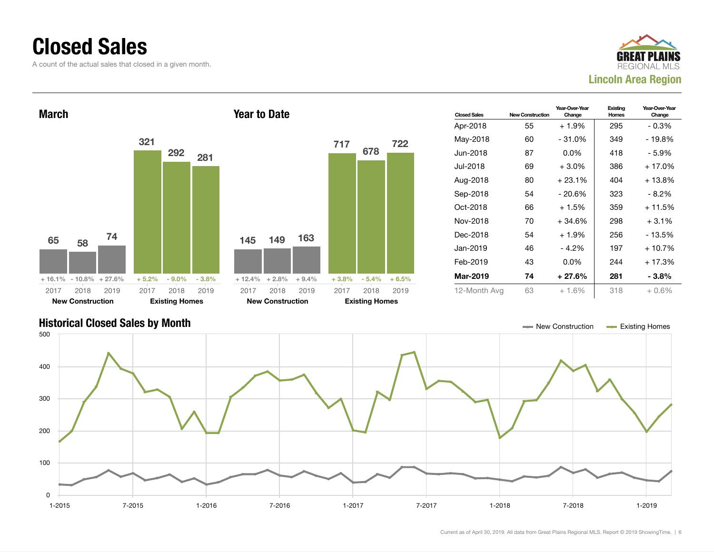#### Closed Sales

A count of the actual sales that closed in a given month.





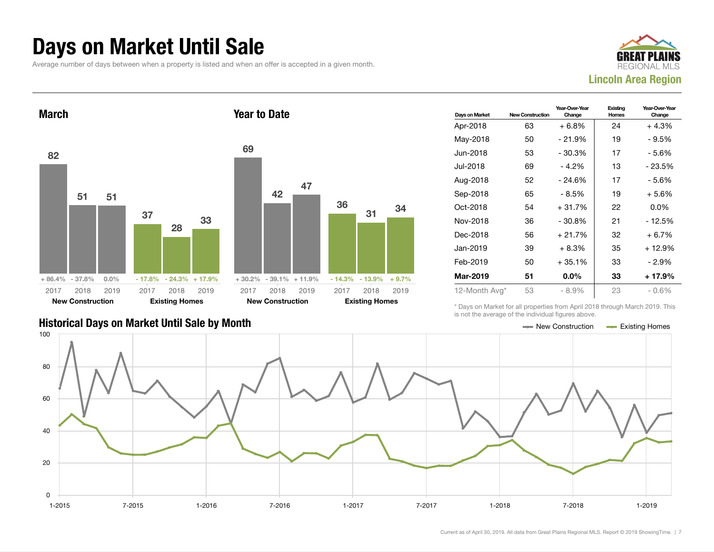#### Days on Market Until Sale

Average number of days between when a property is listed and when an offer is accepted in a given month.





| Days on Market | <b>New Construction</b> | Year-Over-Year<br>Change | Existing<br>Homes | Year-Over-Year<br>Change |
|----------------|-------------------------|--------------------------|-------------------|--------------------------|
| Apr-2018       | 63                      | $+6.8%$                  | 24                | $+4.3%$                  |
| May-2018       | 50                      | $-21.9%$                 | 19                | - 9.5%                   |
| Jun-2018       | 53                      | $-30.3%$                 | 17                | - 5.6%                   |
| Jul-2018       | 69                      | $-4.2%$                  | 13                | - 23.5%                  |
| Aug-2018       | 52                      | $-24.6%$                 | 17                | $-5.6%$                  |
| Sep-2018       | 65                      | - 8.5%                   | 19                | $+5.6%$                  |
| Oct-2018       | 54                      | $+31.7%$                 | 22                | $0.0\%$                  |
| Nov-2018       | 36                      | $-30.8\%$                | 21                | - 12.5%                  |
| Dec-2018       | 56                      | $+21.7%$                 | 32                | $+6.7%$                  |
| Jan-2019       | 39                      | $+8.3%$                  | 35                | + 12.9%                  |
| Feb-2019       | 50                      | $+35.1%$                 | 33                | - 2.9%                   |
| Mar-2019       | 51                      | $0.0\%$                  | 33                | + 17.9%                  |
| 12-Month Avg*  | 53                      | $-8.9%$                  | 23                | $-0.6%$                  |

#### Historical Days on Market Until Sale by Month New York 1999 and New Construction Access Existing Homes

\* Days on Market for all properties from April 2018 through March 2019. This is not the average of the individual figures above.

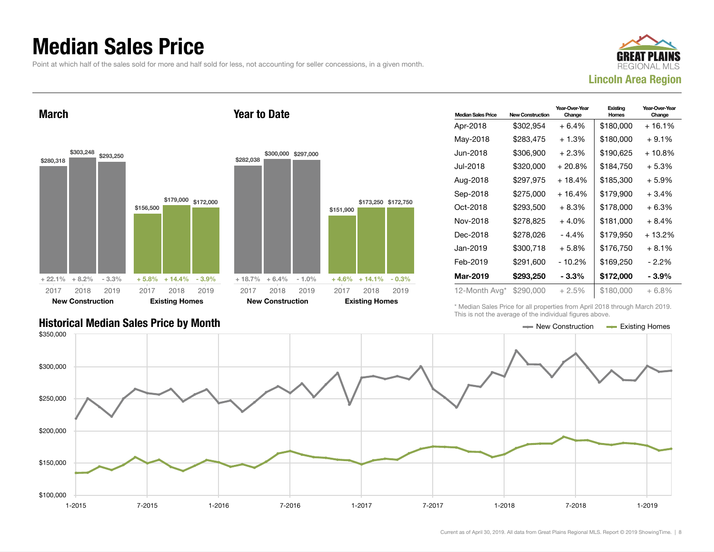#### Median Sales Price

Point at which half of the sales sold for more and half sold for less, not accounting for seller concessions, in a given month.

Year to Date



March





| <b>Median Sales Price</b> | New Construction | Year-Over-Year<br>Change | Existing<br>Homes | Year-Over-Year<br>Change |
|---------------------------|------------------|--------------------------|-------------------|--------------------------|
| Apr-2018                  | \$302,954        | $+6.4%$                  | \$180,000         | + 16.1%                  |
| May-2018                  | \$283,475        | $+1.3%$                  | \$180,000         | $+9.1\%$                 |
| Jun-2018                  | \$306.900        | $+2.3%$                  | \$190.625         | + 10.8%                  |
| Jul-2018                  | \$320,000        | $+20.8\%$                | \$184,750         | + 5.3%                   |
| Aug-2018                  | \$297,975        | + 18.4%                  | \$185,300         | + 5.9%                   |
| Sep-2018                  | \$275,000        | $+16.4%$                 | \$179,900         | $+3.4%$                  |
| Oct-2018                  | \$293,500        | + 8.3%                   | \$178,000         | + 6.3%                   |
| Nov-2018                  | \$278,825        | $+4.0%$                  | \$181,000         | + 8.4%                   |
| Dec-2018                  | \$278,026        | - 4.4%                   | \$179,950         | + 13.2%                  |
| Jan-2019                  | \$300,718        | $+5.8%$                  | \$176,750         | $+8.1%$                  |
| Feb-2019                  | \$291,600        | - 10.2%                  | \$169,250         | - 2.2%                   |
| Mar-2019                  | \$293,250        | - 3.3%                   | \$172,000         | - 3.9%                   |
| 12-Month Avg*             | \$290,000        | + 2.5%                   | \$180,000         | + 6.8%                   |

\* Median Sales Price for all properties from April 2018 through March 2019. This is not the average of the individual figures above.

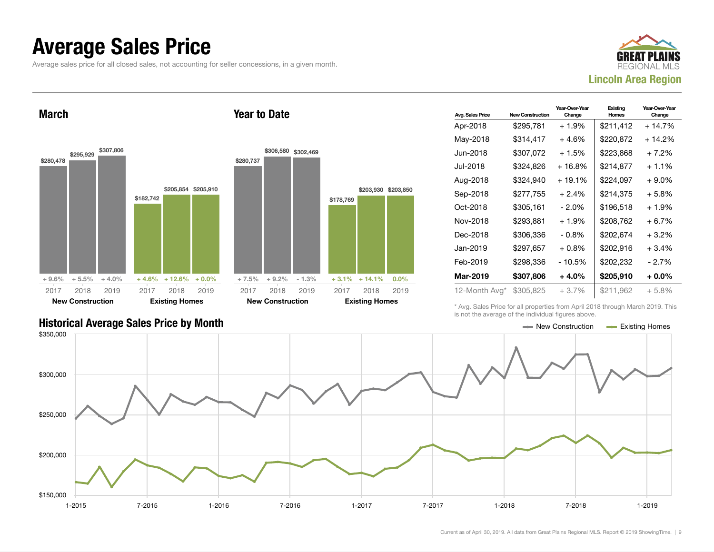#### Average Sales Price

Average sales price for all closed sales, not accounting for seller concessions, in a given month.



March



Year to Date

| <b>Avg. Sales Price</b> | <b>New Construction</b> | Year-Over-Year<br>Change | Existing<br>Homes | Year-Over-Year<br>Change |
|-------------------------|-------------------------|--------------------------|-------------------|--------------------------|
| Apr-2018                | \$295,781               | $+1.9%$                  | \$211,412         | + 14.7%                  |
| May-2018                | \$314,417               | $+4.6%$                  | \$220,872         | + 14.2%                  |
| Jun-2018.               | \$307,072               | $+1.5%$                  | \$223,868         | $+7.2\%$                 |
| Jul-2018                | \$324,826               | $+16.8%$                 | \$214,877         | $+1.1%$                  |
| Aug-2018                | \$324,940               | $+19.1%$                 | \$224,097         | $+9.0\%$                 |
| Sep-2018                | \$277.755               | $+2.4%$                  | \$214,375         | + 5.8%                   |
| Oct-2018                | \$305,161               | $-2.0\%$                 | \$196,518         | $+1.9%$                  |
| Nov-2018                | \$293,881               | $+1.9%$                  | \$208,762         | $+6.7\%$                 |
| Dec-2018                | \$306,336               | - 0.8%                   | \$202,674         | $+3.2\%$                 |
| Jan-2019                | \$297,657               | $+0.8%$                  | \$202,916         | $+3.4%$                  |
| Feb-2019                | \$298,336               | - 10.5%                  | \$202,232         | - 2.7%                   |
| Mar-2019                | \$307,806               | $+4.0%$                  | \$205,910         | + 0.0%                   |
| 12-Month Avg*           | \$305,825               | $+3.7\%$                 | \$211,962         | $+5.8%$                  |

\* Avg. Sales Price for all properties from April 2018 through March 2019. This is not the average of the individual figures above.



#### Historical Average Sales Price by Month **New Article 2008** New Construction Article 2008 New Construction **New Existing Homes**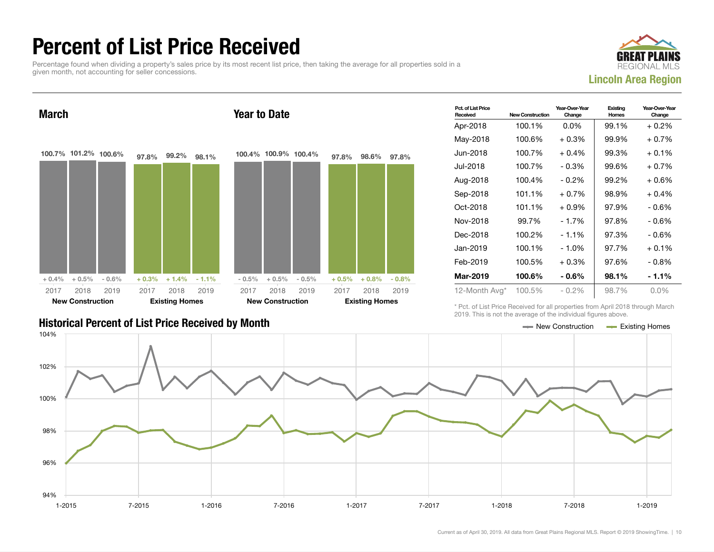### Percent of List Price Received

Percentage found when dividing a property's sales price by its most recent list price, then taking the average for all properties sold in a given month, not accounting for seller concessions.





|                                                           | zu i 9. Triis is not the average of the individual ligures above. |
|-----------------------------------------------------------|-------------------------------------------------------------------|
| <b>Historical Percent of List Price Received by Month</b> | <b>Existing Homes</b><br>$\blacksquare$ New Construction          |

| Pct. of List Price<br>Received | <b>New Construction</b> | Year-Over-Year<br>Change | Existing<br>Homes | Year-Over-Year<br>Change |
|--------------------------------|-------------------------|--------------------------|-------------------|--------------------------|
| Apr-2018                       | 100.1%                  | $0.0\%$                  | 99.1%             | $+0.2%$                  |
| May-2018                       | 100.6%                  | $+0.3\%$                 | 99.9%             | $+0.7%$                  |
| Jun-2018                       | 100.7%                  | $+0.4\%$                 | 99.3%             | $+0.1%$                  |
| Jul-2018                       | 100.7%                  | $-0.3%$                  | 99.6%             | $+0.7%$                  |
| Aug-2018                       | 100.4%                  | $-0.2%$                  | 99.2%             | $+0.6%$                  |
| Sep-2018                       | 101.1%                  | $+0.7\%$                 | 98.9%             | $+0.4%$                  |
| Oct-2018                       | 101.1%                  | $+0.9%$                  | 97.9%             | $-0.6%$                  |
| Nov-2018                       | 99.7%                   | - 1.7%                   | 97.8%             | - 0.6%                   |
| Dec-2018                       | 100.2%                  | $-1.1%$                  | 97.3%             | - 0.6%                   |
| Jan-2019                       | 100.1%                  | $-1.0%$                  | 97.7%             | $+0.1%$                  |
| Feb-2019                       | 100.5%                  | $+0.3\%$                 | 97.6%             | $-0.8\%$                 |
| Mar-2019                       | 100.6%                  | $-0.6\%$                 | 98.1%             | - 1.1%                   |
| 12-Month Avg*                  | 100.5%                  | $-0.2%$                  | 98.7%             | $0.0\%$                  |

\* Pct. of List Price Received for all properties from April 2018 through March 2019. This is not the average of the individual figures above.

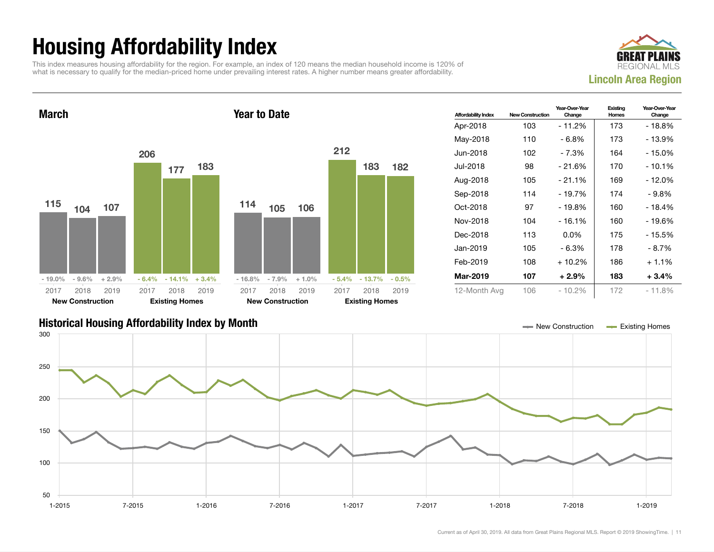## Housing Affordability Index

This index measures housing affordability for the region. For example, an index of 120 means the median household income is 120% of what is necessary to qualify for the median-priced home under prevailing interest rates. A higher number means greater affordability.





| <b>Affordability Index</b> | <b>New Construction</b> | Year-Over-Year<br>Change | Existing<br>Homes | Year-Over-Year<br>Change |
|----------------------------|-------------------------|--------------------------|-------------------|--------------------------|
| Apr-2018                   | 103                     | - 11.2%                  | 173               | - 18.8%                  |
| May-2018                   | 110                     | - 6.8%                   | 173               | - 13.9%                  |
| Jun-2018.                  | 102                     | - 7.3%                   | 164               | - 15.0%                  |
| Jul-2018.                  | 98                      | $-21.6%$                 | 170               | $-10.1%$                 |
| Aug-2018                   | 105                     | $-21.1%$                 | 169               | - 12.0%                  |
| Sep-2018                   | 114                     | - 19.7%                  | 174               | - 9.8%                   |
| Oct-2018                   | 97                      | $-19.8%$                 | 160               | $-18.4%$                 |
| Nov-2018                   | 104                     | $-16.1%$                 | 160               | - 19.6%                  |
| Dec-2018                   | 113                     | $0.0\%$                  | 175               | - 15.5%                  |
| Jan-2019                   | 105                     | - 6.3%                   | 178               | - 8.7%                   |
| Feb-2019                   | 108                     | + 10.2%                  | 186               | $+1.1\%$                 |
| Mar-2019                   | 107                     | $+2.9%$                  | 183               | $+3.4\%$                 |
| 12-Month Avg               | 106                     | $-10.2\%$                | 172               | $-11.8%$                 |

#### Historical Housing Affordability Index by Month New Construction Existing Homes

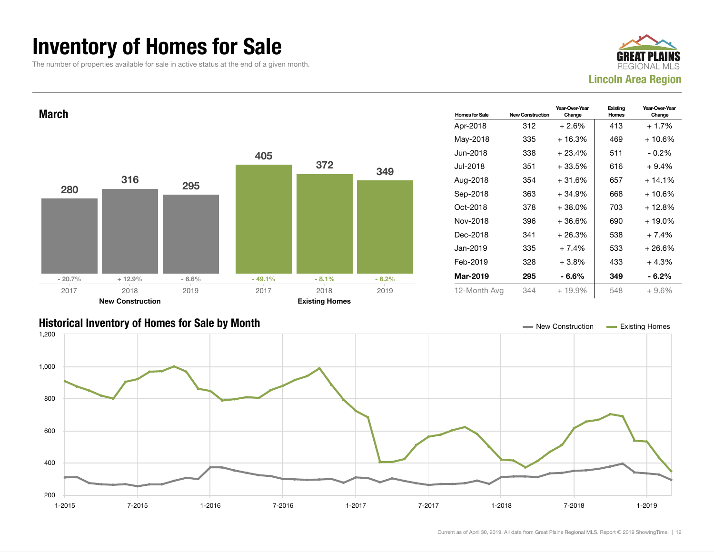#### Inventory of Homes for Sale

The number of properties available for sale in active status at the end of a given month.





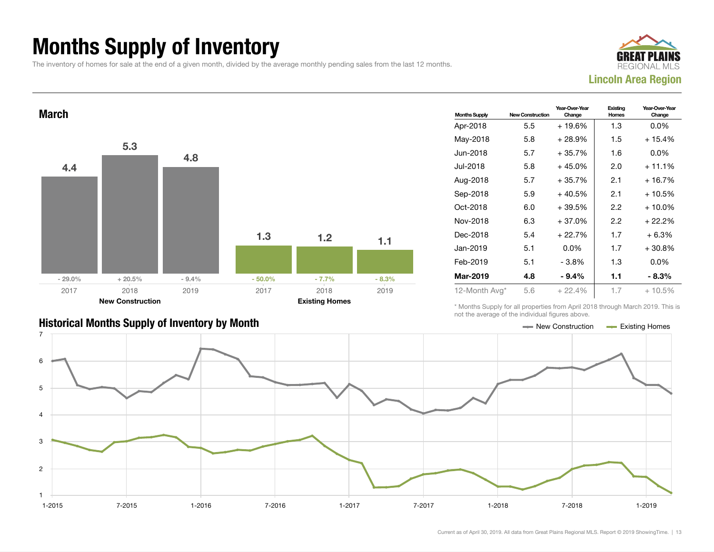### Months Supply of Inventory

The inventory of homes for sale at the end of a given month, divided by the average monthly pending sales from the last 12 months.





#### Historical Months Supply of Inventory by Month New York New York New York New York New Construction Access Existing Homes

| <b>Months Supply</b> | <b>New Construction</b> | Year-Over-Year<br>Change | Existing<br>Homes | Year-Over-Year<br>Change |
|----------------------|-------------------------|--------------------------|-------------------|--------------------------|
| Apr-2018             | 5.5                     | $+19.6%$                 | 1.3               | $0.0\%$                  |
| May-2018             | 5.8                     | $+28.9%$                 | 1.5               | $+15.4%$                 |
| Jun-2018             | 5.7                     | $+35.7%$                 | 1.6               | $0.0\%$                  |
| Jul-2018.            | 5.8                     | $+45.0%$                 | 2.0               | $+11.1%$                 |
| Aug-2018             | 5.7                     | $+35.7%$                 | 2.1               | + 16.7%                  |
| Sep-2018             | 5.9                     | $+40.5%$                 | 2.1               | $+10.5%$                 |
| Oct-2018             | 6.0                     | $+39.5%$                 | 2.2               | $+10.0\%$                |
| Nov-2018             | 6.3                     | $+37.0%$                 | 2.2               | + 22.2%                  |
| Dec-2018             | 5.4                     | $+22.7%$                 | 1.7               | $+6.3%$                  |
| Jan-2019             | 5.1                     | $0.0\%$                  | 1.7               | $+30.8\%$                |
| Feb-2019             | 5.1                     | $-3.8%$                  | 1.3               | $0.0\%$                  |
| <b>Mar-2019</b>      | 4.8                     | $-9.4\%$                 | 1.1               | $-8.3\%$                 |
| 12-Month Avg*        | 5.6                     | $+22.4%$                 | 1.7               | $+10.5%$                 |

\* Months Supply for all properties from April 2018 through March 2019. This is not the average of the individual figures above.